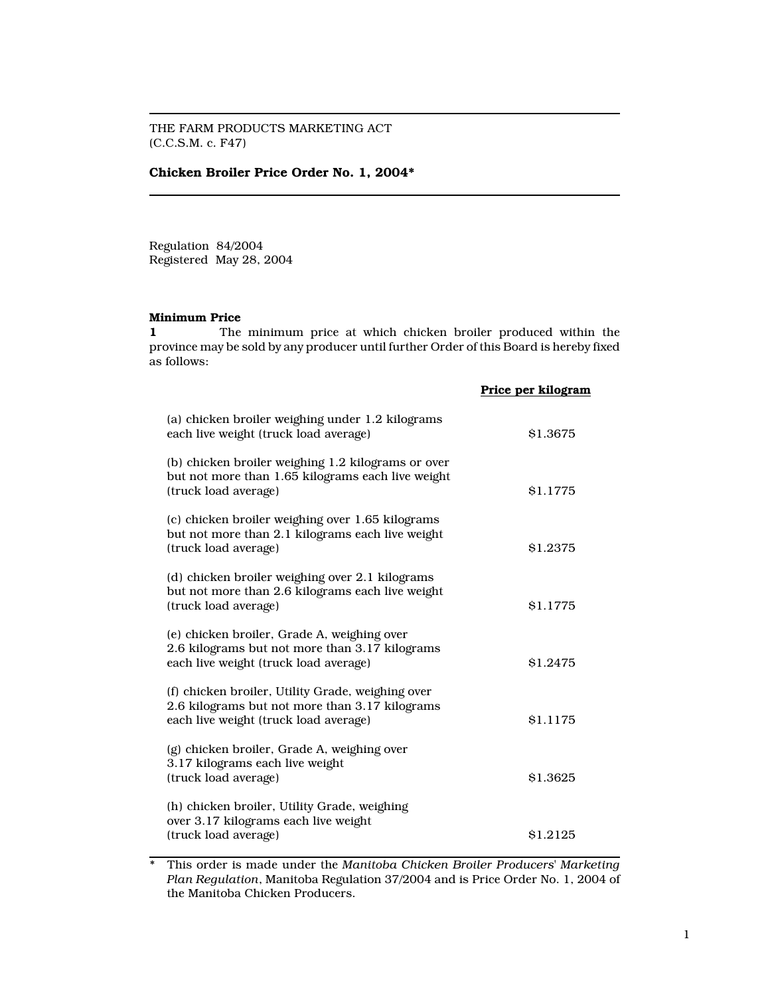THE FARM PRODUCTS MARKETING ACT (C.C.S.M. c. F47)

## Chicken Broiler Price Order No. 1, 2004\*

Regulation 84/2004 Registered May 28, 2004

## Minimum Price

1 The minimum price at which chicken broiler produced within the province may be sold by any producer until further Order of this Board is hereby fixed as follows:

|                                                                                                                                              | Price per kilogram |
|----------------------------------------------------------------------------------------------------------------------------------------------|--------------------|
| (a) chicken broiler weighing under 1.2 kilograms<br>each live weight (truck load average)                                                    | \$1.3675           |
| (b) chicken broiler weighing 1.2 kilograms or over<br>but not more than 1.65 kilograms each live weight<br>(truck load average)              | \$1.1775           |
| (c) chicken broiler weighing over 1.65 kilograms<br>but not more than 2.1 kilograms each live weight<br>(truck load average)                 | \$1.2375           |
| (d) chicken broiler weighing over 2.1 kilograms<br>but not more than 2.6 kilograms each live weight<br>(truck load average)                  | \$1.1775           |
| (e) chicken broiler, Grade A, weighing over<br>2.6 kilograms but not more than 3.17 kilograms<br>each live weight (truck load average)       | \$1.2475           |
| (f) chicken broiler, Utility Grade, weighing over<br>2.6 kilograms but not more than 3.17 kilograms<br>each live weight (truck load average) | \$1.1175           |
| (g) chicken broiler, Grade A, weighing over<br>3.17 kilograms each live weight<br>(truck load average)                                       | \$1.3625           |
| (h) chicken broiler, Utility Grade, weighing<br>over 3.17 kilograms each live weight<br>(truck load average)                                 | \$1.2125           |

\* This order is made under the Manitoba Chicken Broiler Producers' Marketing Plan Regulation, Manitoba Regulation 37/2004 and is Price Order No. 1, 2004 of the Manitoba Chicken Producers.